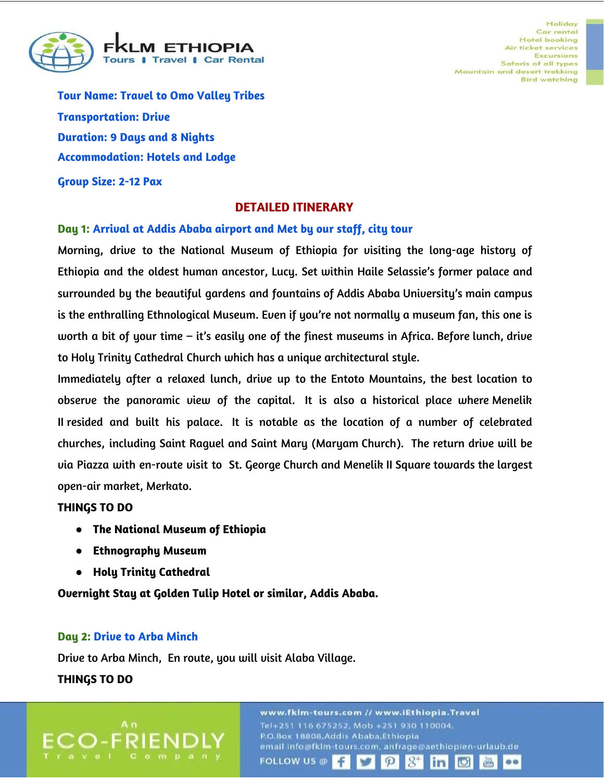

**Tour Name: Travel to Omo Valley Tribes Transportation: Drive Duration: 9 Days and 8 Nights Accommodation: Hotels and Lodge**

**Group Size: 2-12 Pax**

### **DETAILED ITINERARY**

#### **Day 1: Arrival at Addis Ababa airport and Met by our staff, city tour**

Morning, drive to the National Museum of Ethiopia for visiting the long-age history of Ethiopia and the oldest human ancestor, Lucy. Set within Haile Selassie's former palace and surrounded by the beautiful gardens and fountains of Addis Ababa University's main campus is the enthralling Ethnological Museum. Even if you're not normally a museum fan, this one is worth a bit of your time – it's easily one of the finest museums in Africa. Before lunch, drive to Holy Trinity Cathedral Church which has a unique architectural style.

Immediately after a relaxed lunch, drive up to the Entoto Mountains, the best location to observe the panoramic view of the capital. It is also a historical place where Menelik II resided and built his palace. It is notable as the location of a number of celebrated churches, including Saint Raguel and Saint Mary (Maryam Church). The return drive will be via Piazza with en-route visit to St. George Church and Menelik II Square towards the largest open-air market, Merkato.

### **THINGS TO DO**

- **● The National Museum of Ethiopia**
- **● Ethnography Museum**
- **● Holy Trinity Cathedral**

**Overnight Stay at Golden Tulip Hotel or similar, Addis Ababa.**

### **Day 2: Drive to Arba Minch**

Drive to Arba Minch, En route, you will visit Alaba Village.

### **THINGS TO DO**

www.fklm-tours.com // www.iEthiopia.Travel Tel+251 116 675252, Mob +251 930 110004, P.O.Box 18808, Addis Ababa, Ethiopia email info@fklm-tours.com, anfrage@aethiopien-urlaub.de **FOLLOW US @**  $\mathcal{P}$ in **Ci ditto**  $\bullet$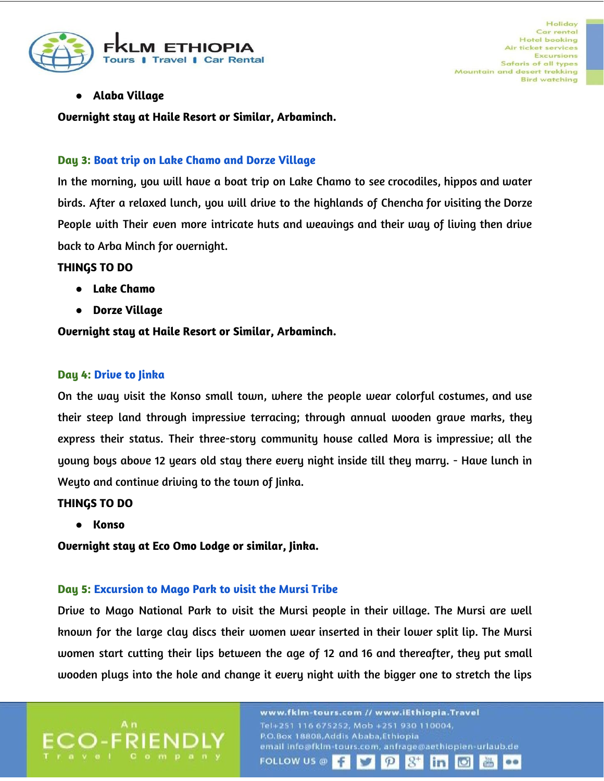

# **● Alaba Village**

**Overnight stay at Haile Resort or Similar, Arbaminch.**

### **Day 3: Boat trip on Lake Chamo and Dorze Village**

In the morning, you will have a boat trip on Lake Chamo to see crocodiles, hippos and water birds. After a relaxed lunch, you will drive to the highlands of Chencha for visiting the Dorze People with Their even more intricate huts and weavings and their way of living then drive back to Arba Minch for overnight.

### **THINGS TO DO**

- **● Lake Chamo**
- **● Dorze Village**

**Overnight stay at Haile Resort or Similar, Arbaminch.**

### **Day 4: Drive to Jinka**

On the way visit the Konso small town, where the people wear colorful costumes, and use their steep land through impressive terracing; through annual wooden grave marks, they express their status. Their three-story community house called Mora is impressive; all the young boys above 12 years old stay there every night inside till they marry. - Have lunch in Weyto and continue driving to the town of Jinka.

### **THINGS TO DO**

**● Konso**

**Overnight stay at Eco Omo Lodge or similar, Jinka.**

### **Day 5: Excursion to Mago Park to visit the Mursi Tribe**

Drive to Mago National Park to visit the Mursi people in their village. The Mursi are well known for the large clay discs their women wear inserted in their lower split lip. The Mursi women start cutting their lips between the age of 12 and 16 and thereafter, they put small wooden plugs into the hole and change it every night with the bigger one to stretch the lips

> www.fklm-tours.com // www.iEthiopia.Travel P.O.Box 18808, Addis Ababa, Ethiopia email info@fklm-tours.com, anfrage@aethiopien-urlaub.de **FOLLOW US @** Æ  $\mathcal{P}$ in  $\bullet\bullet$ انعا dib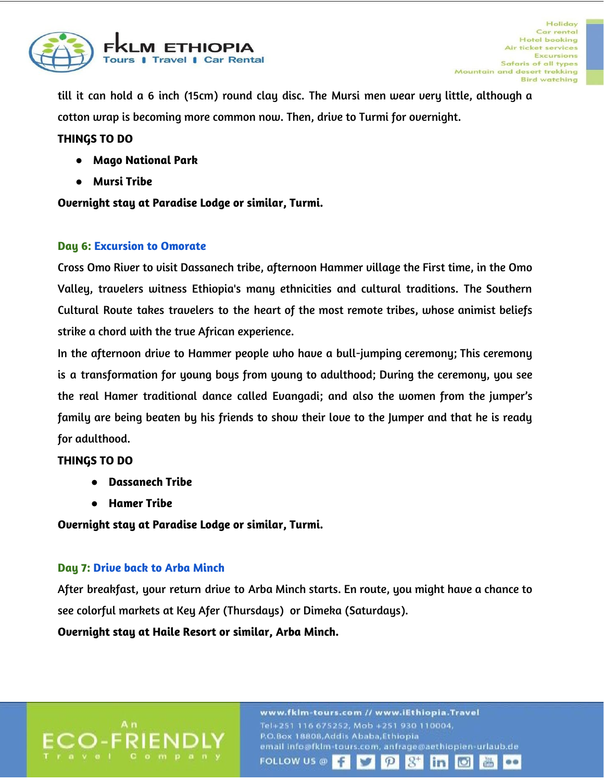

till it can hold a 6 inch (15cm) round clay disc. The Mursi men wear very little, although a cotton wrap is becoming more common now. Then, drive to Turmi for overnight.

## **THINGS TO DO**

- **● Mago National Park**
- **● Mursi Tribe**

**Overnight stay at Paradise Lodge or similar, Turmi.**

### **Day 6: Excursion to Omorate**

Cross Omo River to visit Dassanech tribe, afternoon Hammer village the First time, in the Omo Valley, travelers witness Ethiopia's many ethnicities and cultural traditions. The Southern Cultural Route takes travelers to the heart of the most remote tribes, whose animist beliefs strike a chord with the true African experience.

In the afternoon drive to Hammer people who have a bull-jumping ceremony; This ceremony is a transformation for young boys from young to adulthood; During the ceremony, you see the real Hamer traditional dance called Evangadi; and also the women from the jumper's family are being beaten by his friends to show their love to the Jumper and that he is ready for adulthood.

### **THINGS TO DO**

- **● Dassanech Tribe**
- **● Hamer Tribe**

**Overnight stay at Paradise Lodge or similar, Turmi.**

## **Day 7: Drive back to Arba Minch**

After breakfast, your return drive to Arba Minch starts. En route, you might have a chance to see colorful markets at Key Afer (Thursdays) or Dimeka (Saturdays).

**Overnight stay at Haile Resort or similar, Arba Minch.**

www.fklm-tours.com // www.iEthiopia.Travel Tel+251 116 675252, Mob +251 930 110004, P.O.Box 18808, Addis Ababa, Ethiopia email info@fklm-tours.com, anfrage@aethiopien-urlaub.de **FOLLOW US @**  $\mathcal{P}$ in  $\bullet\bullet$ **ICI** dib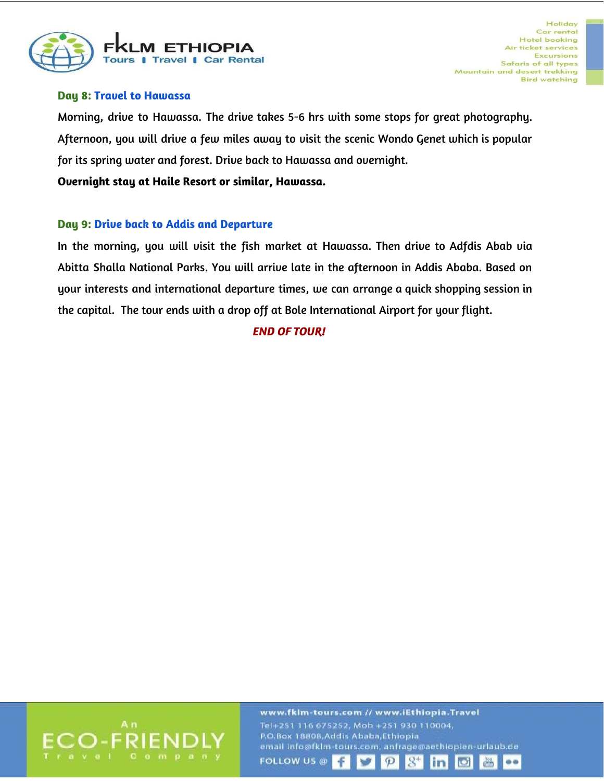

### **Day 8: Travel to Hawassa**

Morning, drive to Hawassa. The drive takes 5-6 hrs with some stops for great photography. Afternoon, you will drive a few miles away to visit the scenic Wondo Genet which is popular for its spring water and forest. Drive back to Hawassa and overnight.

**Overnight stay at Haile Resort or similar, Hawassa.**

### **Day 9: Drive back to Addis and Departure**

In the morning, you will visit the fish market at Hawassa. Then drive to Adfdis Abab via Abitta Shalla National Parks. You will arrive late in the afternoon in Addis Ababa. Based on your interests and international departure times, we can arrange a quick shopping session in the capital. The tour ends with a drop off at Bole International Airport for your flight.

## *END OF TOUR!*



www.fklm-tours.com // www.iEthiopia.Travel P.O.Box 18808, Addis Ababa, Ethiopia email info@fklm-tours.com, anfrage@aethiopien-urlaub.de **FOLLOW US @** Æ  $\mathcal{P}$ in  $\mathcal{I}$ **ICT ditto**  $\bullet$